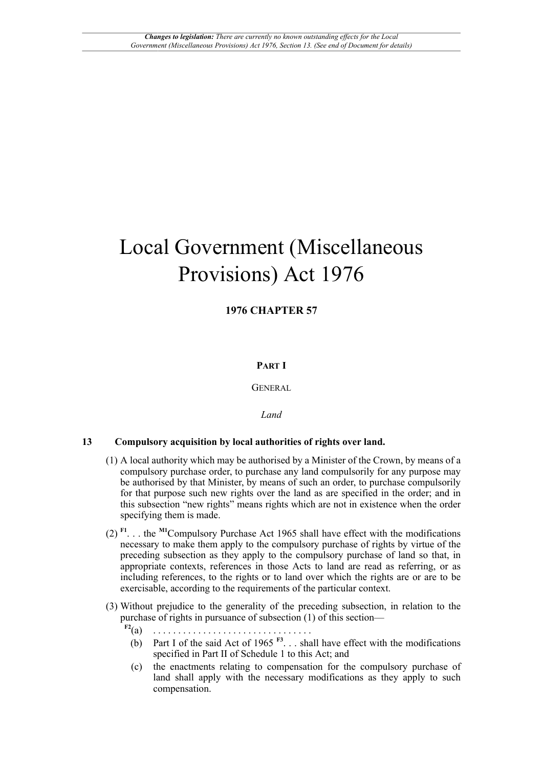# Local Government (Miscellaneous Provisions) Act 1976

# **1976 CHAPTER 57**

# **PART I**

GENERAL

# *Land*

## **13 Compulsory acquisition by local authorities of rights over land.**

- (1) A local authority which may be authorised by a Minister of the Crown, by means of a compulsory purchase order, to purchase any land compulsorily for any purpose may be authorised by that Minister, by means of such an order, to purchase compulsorily for that purpose such new rights over the land as are specified in the order; and in this subsection "new rights" means rights which are not in existence when the order specifying them is made.
- <span id="page-0-3"></span><span id="page-0-0"></span>(2) **[F1](#page-1-0)**. . . the **[M1](#page-1-1)**Compulsory Purchase Act 1965 shall have effect with the modifications necessary to make them apply to the compulsory purchase of rights by virtue of the preceding subsection as they apply to the compulsory purchase of land so that, in appropriate contexts, references in those Acts to land are read as referring, or as including references, to the rights or to land over which the rights are or are to be exercisable, according to the requirements of the particular context.
- <span id="page-0-2"></span><span id="page-0-1"></span>(3) Without prejudice to the generality of the preceding subsection, in relation to the purchase of rights in pursuance of subsection (1) of this section—
	- **[F2](#page-1-2)**(a) . . . . . . . . . . . . . . . . . . . . . . . . . . . . . . . .
		- (b) Part I of the said Act of 1965  $F<sup>3</sup>$ ... shall have effect with the modifications specified in Part II of Schedule 1 to this Act; and
		- (c) the enactments relating to compensation for the compulsory purchase of land shall apply with the necessary modifications as they apply to such compensation.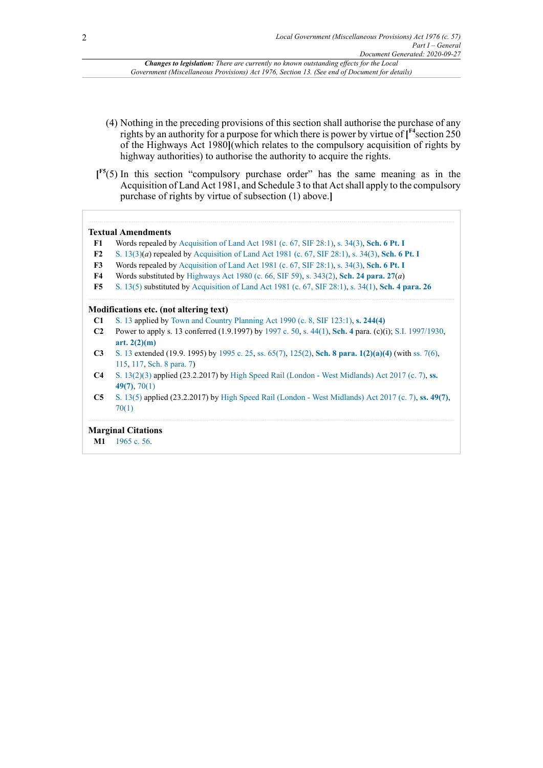<span id="page-1-6"></span>*Changes to legislation: There are currently no known outstanding effects for the Local Government (Miscellaneous Provisions) Act 1976, Section 13. (See end of Document for details)*

- (4) Nothing in the preceding provisions of this section shall authorise the purchase of any rights by an authority for a purpose for which there is power by virtue of **[ [F4](#page-1-4)**section 250 of the Highways Act 1980**]**(which relates to the compulsory acquisition of rights by highway authorities) to authorise the authority to acquire the rights.
- <span id="page-1-7"></span>**[ [F5](#page-1-5)**(5) In this section "compulsory purchase order" has the same meaning as in the Acquisition of Land Act 1981, and Schedule 3 to that Act shall apply to the compulsory purchase of rights by virtue of subsection (1) above.**]**

#### **Textual Amendments**

<span id="page-1-0"></span>**[F1](#page-0-0)** Words repealed by [Acquisition of Land Act 1981 \(c. 67, SIF 28:1\),](http://www.legislation.gov.uk/id/ukpga/1981/67) [s. 34\(3\),](http://www.legislation.gov.uk/id/ukpga/1981/67/section/34/3) **[Sch. 6 Pt. I](http://www.legislation.gov.uk/id/ukpga/1981/67/schedule/6/part/I)**

- <span id="page-1-2"></span>**[F2](#page-0-1)** [S. 13\(3\)\(](http://www.legislation.gov.uk/id/ukpga/1976/57/section/13/3)*a*) repealed by [Acquisition of Land Act 1981 \(c. 67, SIF 28:1\),](http://www.legislation.gov.uk/id/ukpga/1981/67) [s. 34\(3\),](http://www.legislation.gov.uk/id/ukpga/1981/67/section/34/3) **[Sch. 6 Pt. I](http://www.legislation.gov.uk/id/ukpga/1981/67/schedule/6/part/I)**
- <span id="page-1-3"></span>**[F3](#page-0-2)** Words repealed by [Acquisition of Land Act 1981 \(c. 67, SIF 28:1\),](http://www.legislation.gov.uk/id/ukpga/1981/67) [s. 34\(3\),](http://www.legislation.gov.uk/id/ukpga/1981/67/section/34/3) **[Sch. 6 Pt. I](http://www.legislation.gov.uk/id/ukpga/1981/67/schedule/6/part/I)**
- <span id="page-1-4"></span>**[F4](#page-1-6)** Words substituted by [Highways Act 1980 \(c. 66, SIF 59\)](http://www.legislation.gov.uk/id/ukpga/1980/66), [s. 343\(2\),](http://www.legislation.gov.uk/id/ukpga/1980/66/section/343/2) **[Sch. 24 para. 27](http://www.legislation.gov.uk/id/ukpga/1980/66/schedule/24/paragraph/27)**(*a*)
- <span id="page-1-5"></span>**[F5](#page-1-7)** [S. 13\(5\)](http://www.legislation.gov.uk/id/ukpga/1976/57/section/13/5) substituted by [Acquisition of Land Act 1981 \(c. 67, SIF 28:1\),](http://www.legislation.gov.uk/id/ukpga/1981/67) [s. 34\(1\),](http://www.legislation.gov.uk/id/ukpga/1981/67/section/34/1) **[Sch. 4 para. 26](http://www.legislation.gov.uk/id/ukpga/1981/67/schedule/4/paragraph/26)**

#### **Modifications etc. (not altering text)**

- **C1** [S. 13](http://www.legislation.gov.uk/id/ukpga/1976/57/section/13) applied by Town and Country [Planning](http://www.legislation.gov.uk/id/ukpga/1990/8) Act 1990 (c. 8, SIF 123:1), **[s. 244\(4\)](http://www.legislation.gov.uk/id/ukpga/1990/8/section/244/4)**
- **C2** Power to apply s. 13 conferred (1.9.1997) by [1997 c. 50](http://www.legislation.gov.uk/id/ukpga/1997/50), [s. 44\(1\)](http://www.legislation.gov.uk/id/ukpga/1997/50/section/44/1), **[Sch. 4](http://www.legislation.gov.uk/id/ukpga/1997/50/schedule/4)** para. (c)(i); [S.I. 1997/1930](http://www.legislation.gov.uk/id/uksi/1997/1930), **[art. 2\(2\)\(m\)](http://www.legislation.gov.uk/id/uksi/1997/1930/article/2/2/m)**
- **C3** [S. 13](http://www.legislation.gov.uk/id/ukpga/1976/57/section/13) extended (19.9. 1995) by [1995 c. 25,](http://www.legislation.gov.uk/id/ukpga/1995/25) [ss. 65\(7\)](http://www.legislation.gov.uk/id/ukpga/1995/25/section/65/7), [125\(2\),](http://www.legislation.gov.uk/id/ukpga/1995/25/section/125/2) **[Sch. 8 para. 1\(2\)\(a\)\(4\)](http://www.legislation.gov.uk/id/ukpga/1995/25/schedule/8/paragraph/1/2/a/4)** (with [ss. 7\(6\),](http://www.legislation.gov.uk/id/ukpga/1995/25/section/7/6) [115,](http://www.legislation.gov.uk/id/ukpga/1995/25/section/115) [117,](http://www.legislation.gov.uk/id/ukpga/1995/25/section/117) [Sch. 8 para. 7](http://www.legislation.gov.uk/id/ukpga/1995/25/schedule/8/paragraph/7))
- **C4** [S. 13\(2\)](http://www.legislation.gov.uk/id/ukpga/1976/57/section/13/2)[\(3\)](http://www.legislation.gov.uk/id/ukpga/1976/57/section/13/3) applied (23.2.2017) by High Speed Rail (London West [Midlands\)](http://www.legislation.gov.uk/id/ukpga/2017/7) Act 2017 (c. 7), **[ss.](http://www.legislation.gov.uk/id/ukpga/2017/7/section/49/7) [49\(7\)](http://www.legislation.gov.uk/id/ukpga/2017/7/section/49/7)**, [70\(1\)](http://www.legislation.gov.uk/id/ukpga/2017/7/section/70/1)
- **C5** [S. 13\(5\)](http://www.legislation.gov.uk/id/ukpga/1976/57/section/13/5) applied (23.2.2017) by High Speed Rail (London West [Midlands\)](http://www.legislation.gov.uk/id/ukpga/2017/7) Act 2017 (c. 7), **[ss. 49\(7\)](http://www.legislation.gov.uk/id/ukpga/2017/7/section/49/7)**, [70\(1\)](http://www.legislation.gov.uk/id/ukpga/2017/7/section/70/1)

### **Marginal Citations**

<span id="page-1-1"></span>**[M1](#page-0-3)** [1965 c. 56](http://www.legislation.gov.uk/id/ukpga/1965/56).